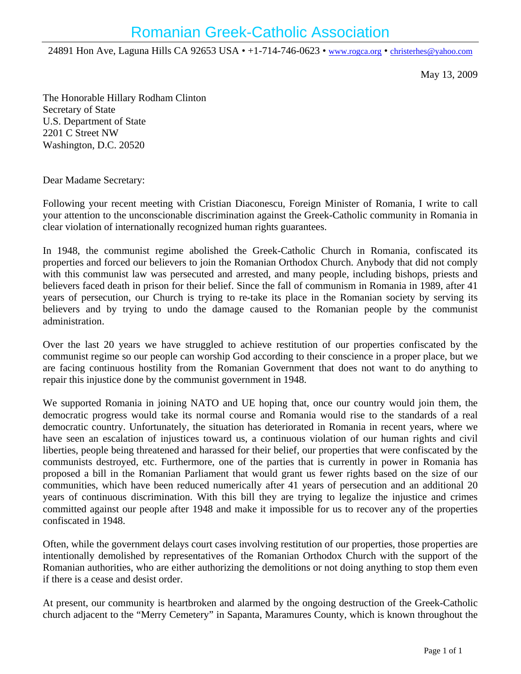24891 Hon Ave, Laguna Hills CA 92653 USA • +1-714-746-0623 • www.rogca.org • christerhes@yahoo.com

May 13, 2009

The Honorable Hillary Rodham Clinton Secretary of State U.S. Department of State 2201 C Street NW Washington, D.C. 20520

Dear Madame Secretary:

Following your recent meeting with Cristian Diaconescu, Foreign Minister of Romania, I write to call your attention to the unconscionable discrimination against the Greek-Catholic community in Romania in clear violation of internationally recognized human rights guarantees.

In 1948, the communist regime abolished the Greek-Catholic Church in Romania, confiscated its properties and forced our believers to join the Romanian Orthodox Church. Anybody that did not comply with this communist law was persecuted and arrested, and many people, including bishops, priests and believers faced death in prison for their belief. Since the fall of communism in Romania in 1989, after 41 years of persecution, our Church is trying to re-take its place in the Romanian society by serving its believers and by trying to undo the damage caused to the Romanian people by the communist administration.

Over the last 20 years we have struggled to achieve restitution of our properties confiscated by the communist regime so our people can worship God according to their conscience in a proper place, but we are facing continuous hostility from the Romanian Government that does not want to do anything to repair this injustice done by the communist government in 1948.

We supported Romania in joining NATO and UE hoping that, once our country would join them, the democratic progress would take its normal course and Romania would rise to the standards of a real democratic country. Unfortunately, the situation has deteriorated in Romania in recent years, where we have seen an escalation of injustices toward us, a continuous violation of our human rights and civil liberties, people being threatened and harassed for their belief, our properties that were confiscated by the communists destroyed, etc. Furthermore, one of the parties that is currently in power in Romania has proposed a bill in the Romanian Parliament that would grant us fewer rights based on the size of our communities, which have been reduced numerically after 41 years of persecution and an additional 20 years of continuous discrimination. With this bill they are trying to legalize the injustice and crimes committed against our people after 1948 and make it impossible for us to recover any of the properties confiscated in 1948.

Often, while the government delays court cases involving restitution of our properties, those properties are intentionally demolished by representatives of the Romanian Orthodox Church with the support of the Romanian authorities, who are either authorizing the demolitions or not doing anything to stop them even if there is a cease and desist order.

At present, our community is heartbroken and alarmed by the ongoing destruction of the Greek-Catholic church adjacent to the "Merry Cemetery" in Sapanta, Maramures County, which is known throughout the